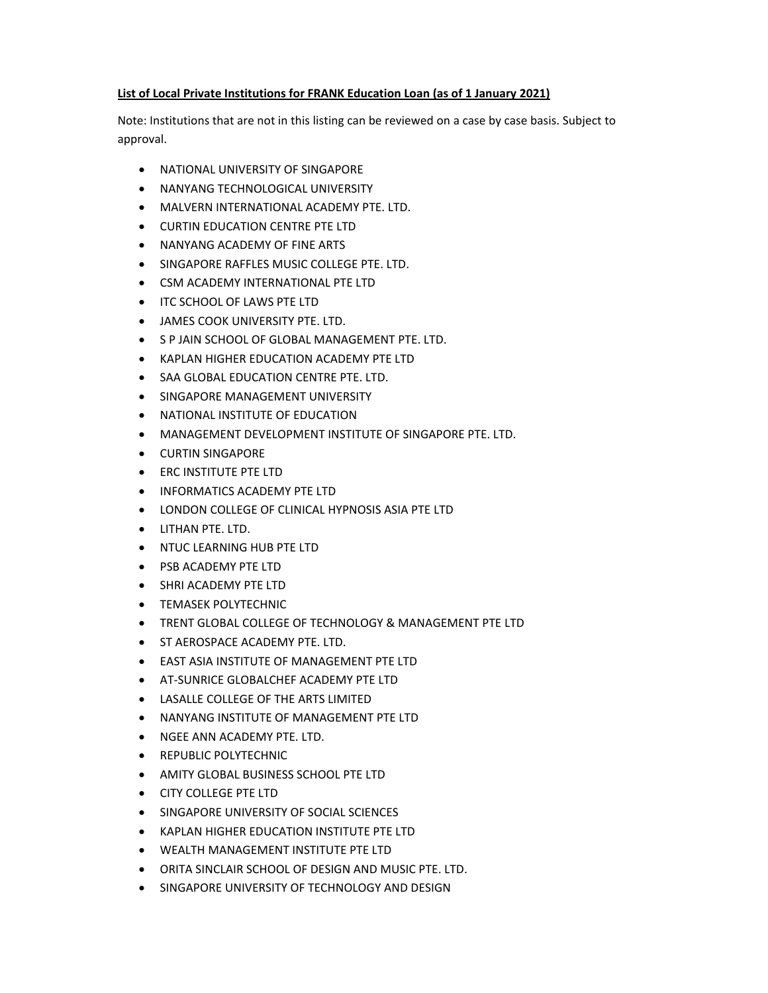## **List of Local Private Institutions for FRANK Education Loan (as of 1 January 2021)**

Note: Institutions that are not in this listing can be reviewed on a case by case basis. Subject to approval.

- **NATIONAL UNIVERSITY OF SINGAPORE**
- **NANYANG TECHNOLOGICAL UNIVERSITY**
- MALVERN INTERNATIONAL ACADEMY PTE. LTD.
- CURTIN EDUCATION CENTRE PTE LTD
- NANYANG ACADEMY OF FINE ARTS
- SINGAPORE RAFFLES MUSIC COLLEGE PTE. LTD.
- CSM ACADEMY INTERNATIONAL PTE LTD
- **ITC SCHOOL OF LAWS PTE LTD**
- JAMES COOK UNIVERSITY PTE. LTD.
- S P JAIN SCHOOL OF GLOBAL MANAGEMENT PTE. LTD.
- KAPLAN HIGHER EDUCATION ACADEMY PTE LTD
- SAA GLOBAL EDUCATION CENTRE PTE. LTD.
- SINGAPORE MANAGEMENT UNIVERSITY
- NATIONAL INSTITUTE OF EDUCATION
- MANAGEMENT DEVELOPMENT INSTITUTE OF SINGAPORE PTE. LTD.
- CURTIN SINGAPORE
- ERC INSTITUTE PTE LTD
- INFORMATICS ACADEMY PTE LTD
- LONDON COLLEGE OF CLINICAL HYPNOSIS ASIA PTE LTD
- LITHAN PTE. LTD.
- **NTUC LEARNING HUB PTE LTD**
- PSB ACADEMY PTE LTD
- SHRI ACADEMY PTE LTD
- **TEMASEK POLYTECHNIC**
- TRENT GLOBAL COLLEGE OF TECHNOLOGY & MANAGEMENT PTE LTD
- **ST AEROSPACE ACADEMY PTE. LTD.**
- EAST ASIA INSTITUTE OF MANAGEMENT PTE LTD
- AT‐SUNRICE GLOBALCHEF ACADEMY PTE LTD
- LASALLE COLLEGE OF THE ARTS LIMITED
- NANYANG INSTITUTE OF MANAGEMENT PTE LTD
- NGEE ANN ACADEMY PTE. LTD.
- REPUBLIC POLYTECHNIC
- AMITY GLOBAL BUSINESS SCHOOL PTE LTD
- CITY COLLEGE PTE LTD
- **SINGAPORE UNIVERSITY OF SOCIAL SCIENCES**
- KAPLAN HIGHER EDUCATION INSTITUTE PTE LTD
- WEALTH MANAGEMENT INSTITUTE PTE LTD
- ORITA SINCLAIR SCHOOL OF DESIGN AND MUSIC PTE. LTD.
- SINGAPORE UNIVERSITY OF TECHNOLOGY AND DESIGN